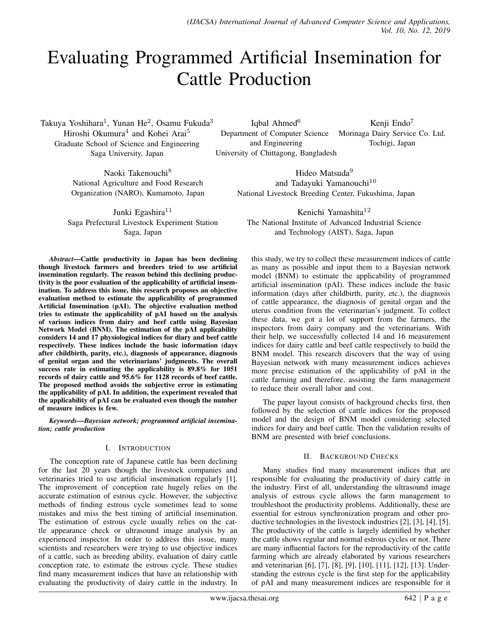# Evaluating Programmed Artificial Insemination for Cattle Production

Takuya Yoshihara<sup>1</sup>, Yunan He<sup>2</sup>, Osamu Fukuda<sup>3</sup> Hiroshi Okumura<sup>4</sup> and Kohei Arai<sup>5</sup> Graduate School of Science and Engineering Saga University, Japan

> Naoki Takenouchi<sup>8</sup> National Agriculture and Food Research Organization (NARO), Kumamoto, Japan

Junki Egashira<sup>11</sup> Saga Prefectural Livestock Experiment Station Saga, Japan

*Abstract*—Cattle productivity in Japan has been declining though livestock farmers and breeders tried to use artificial insemination regularly. The reason behind this declining productivity is the poor evaluation of the applicability of artificial insemination. To address this issue, this research proposes an objective evaluation method to estimate the applicability of programmed Artificial Insemination (pAI). The objective evaluation method tries to estimate the applicability of pAI based on the analysis of various indices from dairy and beef cattle using Bayesian Network Model (BNM). The estimation of the pAI applicability considers 14 and 17 physiological indices for diary and beef cattle respectively. These indices include the basic information (days after childbirth, parity, etc.), diagnosis of appearance, diagnosis of genital organ and the veterinarians' judgments. The overall success rate in estimating the applicability is 89.8% for 1051 records of dairy cattle and 95.6% for 1128 records of beef cattle. The proposed method avoids the subjective error in estimating the applicability of pAI. In addition, the experiment revealed that the applicability of pAI can be evaluated even though the number of measure indices is few.

*Keywords*—*Bayesian network; programmed artificial insemination; cattle production*

# I. INTRODUCTION

The conception rate of Japanese cattle has been declining for the last 20 years though the livestock companies and veterinaries tried to use artificial insemination regularly [1]. The improvement of conception rate hugely relies on the accurate estimation of estrous cycle. However, the subjective methods of finding estrous cycle sometimes lead to some mistakes and miss the best timing of artificial insemination. The estimation of estrous cycle usually relies on the cattle appearance check or ultrasound image analysis by an experienced inspector. In order to address this issue, many scientists and researchers were trying to use objective indices of a cattle, such as breeding ability, evaluation of dairy cattle conception rate, to estimate the estrous cycle. These studies find many measurement indices that have an relationship with evaluating the productivity of dairy cattle in the industry. In

Iqbal Ahmed $<sup>6</sup>$ </sup> Department of Computer Science and Engineering University of Chittagong, Bangladesh Kenji Endo<sup>7</sup> Morinaga Dairy Service Co. Ltd. Tochigi, Japan

Hideo Matsuda<sup>9</sup> and Tadayuki Yamanouchi<sup>10</sup> National Livestock Breeding Center, Fukushima, Japan

Kenichi Yamashita<sup>12</sup> The National Institute of Advanced Industrial Science and Technology (AIST), Saga, Japan

this study, we try to collect these measurement indices of cattle as many as possible and input them to a Bayesian network model (BNM) to estimate the applicability of programmed artificial insemination (pAI). These indices include the basic information (days after childbirth, parity, etc.), the diagnosis of cattle appearance, the diagnosis of genital organ and the uterus condition from the veterinarian's judgment. To collect these data, we got a lot of support from the farmers, the inspectors from dairy company and the veterinarians. With their help, we successfully collected 14 and 16 measurement indices for dairy cattle and beef cattle respectively to build the BNM model. This research discovers that the way of using Bayesian network with many measurement indices achieves more precise estimation of the applicability of pAI in the cattle farming and therefore, assisting the farm management to reduce their overall labor and cost.

The paper layout consists of background checks first, then followed by the selection of cattle indices for the proposed model and the design of BNM model considering selected indices for dairy and beef cattle. Then the validation results of BNM are presented with brief conclusions.

# II. BACKGROUND CHECKS

Many studies find many measurement indices that are responsible for evaluating the productivity of dairy cattle in the industry. First of all, understanding the ultrasound image analysis of estrous cycle allows the farm management to troubleshoot the productivity problems. Additionally, these are essential for estrous synchronization program and other productive technologies in the livestock industries [2], [3], [4], [5]. The productivity of the cattle is largely identified by whether the cattle shows regular and normal estrous cycles or not. There are many influential factors for the reproductivity of the cattle farming which are already elaborated by various researchers and veterinarian [6], [7], [8], [9], [10], [11], [12], [13]. Understanding the estrous cycle is the first step for the applicability of pAI and many measurement indices are responsible for it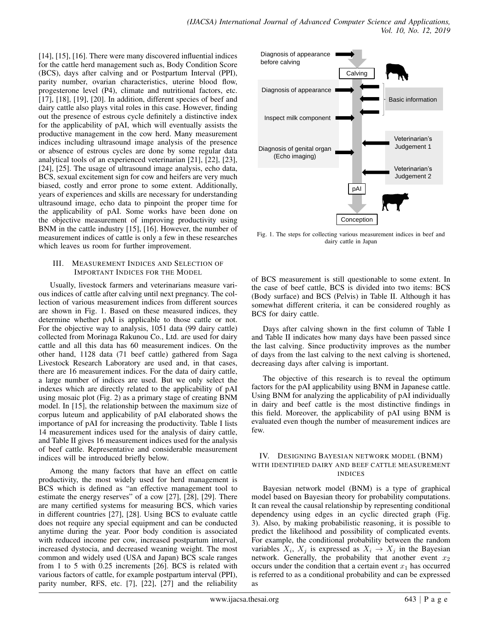[14], [15], [16]. There were many discovered influential indices for the cattle herd management such as, Body Condition Score (BCS), days after calving and or Postpartum Interval (PPI), parity number, ovarian characteristics, uterine blood flow, progesterone level (P4), climate and nutritional factors, etc. [17], [18], [19], [20]. In addition, different species of beef and dairy cattle also plays vital roles in this case. However, finding out the presence of estrous cycle definitely a distinctive index for the applicability of pAI, which will eventually assists the productive management in the cow herd. Many measurement indices including ultrasound image analysis of the presence or absence of estrous cycles are done by some regular data analytical tools of an experienced veterinarian [21], [22], [23], [24], [25]. The usage of ultrasound image analysis, echo data, BCS, sexual excitement sign for cow and heifers are very much biased, costly and error prone to some extent. Additionally, years of experiences and skills are necessary for understanding ultrasound image, echo data to pinpoint the proper time for the applicability of pAI. Some works have been done on the objective measurement of improving productivity using BNM in the cattle industry [15], [16]. However, the number of measurement indices of cattle is only a few in these researches which leaves us room for further improvement.

#### III. MEASUREMENT INDICES AND SELECTION OF IMPORTANT INDICES FOR THE MODEL

Usually, livestock farmers and veterinarians measure various indices of cattle after calving until next pregnancy. The collection of various measurement indices from different sources are shown in Fig. 1. Based on these measured indices, they determine whether pAI is applicable to those cattle or not. For the objective way to analysis, 1051 data (99 dairy cattle) collected from Morinaga Rakunou Co., Ltd. are used for dairy cattle and all this data has 60 measurement indices. On the other hand, 1128 data (71 beef cattle) gathered from Saga Livestock Research Laboratory are used and, in that cases, there are 16 measurement indices. For the data of dairy cattle, a large number of indices are used. But we only select the indexes which are directly related to the applicability of pAI using mosaic plot (Fig. 2) as a primary stage of creating BNM model. In [15], the relationship between the maximum size of corpus luteum and applicability of pAI elaborated shows the importance of pAI for increasing the productivity. Table I lists 14 measurement indices used for the analysis of dairy cattle, and Table II gives 16 measurement indices used for the analysis of beef cattle. Representative and considerable measurement indices will be introduced briefly below.

Among the many factors that have an effect on cattle productivity, the most widely used for herd management is BCS which is defined as "an effective management tool to estimate the energy reserves" of a cow [27], [28], [29]. There are many certified systems for measuring BCS, which varies in different countries [27], [28]. Using BCS to evaluate cattle does not require any special equipment and can be conducted anytime during the year. Poor body condition is associated with reduced income per cow, increased postpartum interval, increased dystocia, and decreased weaning weight. The most common and widely used (USA and Japan) BCS scale ranges from 1 to 5 with 0.25 increments [26]. BCS is related with various factors of cattle, for example postpartum interval (PPI), parity number, RFS, etc. [7], [22], [27] and the reliability



Fig. 1. The steps for collecting various measurement indices in beef and dairy cattle in Japan

of BCS measurement is still questionable to some extent. In the case of beef cattle, BCS is divided into two items: BCS (Body surface) and BCS (Pelvis) in Table II. Although it has somewhat different criteria, it can be considered roughly as BCS for dairy cattle.

Days after calving shown in the first column of Table I and Table II indicates how many days have been passed since the last calving. Since productivity improves as the number of days from the last calving to the next calving is shortened, decreasing days after calving is important.

The objective of this research is to reveal the optimum factors for the pAI applicability using BNM in Japanese cattle. Using BNM for analyzing the applicability of pAI individually in dairy and beef cattle is the most distinctive findings in this field. Moreover, the applicability of pAI using BNM is evaluated even though the number of measurement indices are few.

# IV. DESIGNING BAYESIAN NETWORK MODEL (BNM) WITH IDENTIFIED DAIRY AND BEEF CATTLE MEASUREMENT INDICES

Bayesian network model (BNM) is a type of graphical model based on Bayesian theory for probability computations. It can reveal the causal relationship by representing conditional dependency using edges in an cyclic directed graph (Fig. 3). Also, by making probabilistic reasoning, it is possible to predict the likelihood and possibility of complicated events. For example, the conditional probability between the random variables  $X_i$ ,  $X_j$  is expressed as  $X_i \rightarrow X_j$  in the Bayesian network. Generally, the probability that another event  $x_2$ occurs under the condition that a certain event  $x_1$  has occurred is referred to as a conditional probability and can be expressed as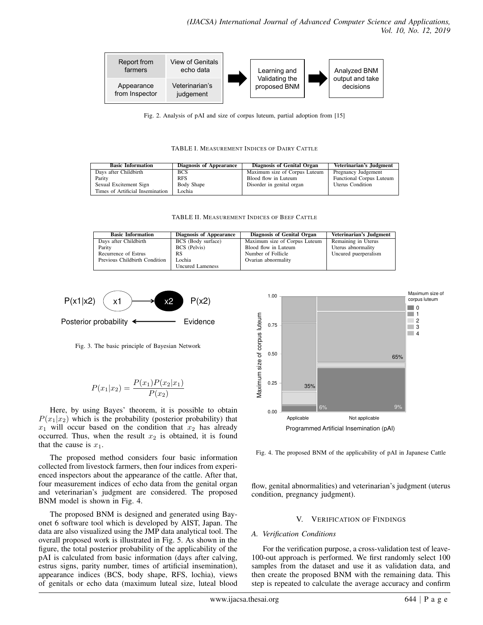

Fig. 2. Analysis of pAI and size of corpus luteum, partial adoption from [15]

TABLE I. MEASUREMENT INDICES OF DAIRY CATTLE

| <b>Basic Information</b>         | Diagnosis of Appearance | Diagnosis of Genital Organ    | Veterinarian's Judgment         |
|----------------------------------|-------------------------|-------------------------------|---------------------------------|
| Days after Childbirth            | <b>BCS</b>              | Maximum size of Corpus Luteum | Pregnancy Judgement             |
| Parity                           | <b>RFS</b>              | Blood flow in Luteum          | <b>Functional Corpus Luteum</b> |
| Sexual Excitement Sign           | Body Shape              | Disorder in genital organ     | <b>Uterus Condition</b>         |
| Times of Artificial Insemination | Lochia                  |                               |                                 |

TABLE II. MEASUREMENT INDICES OF BEEF CATTLE

| <b>Basic Information</b>      | Diagnosis of Appearance | Diagnosis of Genital Organ    | Veterinarian's Judgment |
|-------------------------------|-------------------------|-------------------------------|-------------------------|
| Days after Childbirth         | BCS (Body surface)      | Maximum size of Corpus Luteum | Remaining in Uterus     |
| Parity                        | <b>BCS</b> (Pelvis)     | Blood flow in Luteum          | Uterus abnormality      |
| Recurrence of Estrus          | RS                      | Number of Follicle            | Uncured puerperalism    |
| Previous Childbirth Condition | Lochia                  | Ovarian abnormality           |                         |
|                               | <b>Uncured Lameness</b> |                               |                         |



Fig. 3. The basic principle of Bayesian Network

$$
P(x_1|x_2) = \frac{P(x_1)P(x_2|x_1)}{P(x_2)}
$$

Here, by using Bayes' theorem, it is possible to obtain  $P(x_1|x_2)$  which is the probability (posterior probability) that  $x_1$  will occur based on the condition that  $x_2$  has already occurred. Thus, when the result  $x_2$  is obtained, it is found that the cause is  $x_1$ .

The proposed method considers four basic information collected from livestock farmers, then four indices from experienced inspectors about the appearance of the cattle. After that, four measurement indices of echo data from the genital organ and veterinarian's judgment are considered. The proposed BNM model is shown in Fig. 4.

The proposed BNM is designed and generated using Bayonet 6 software tool which is developed by AIST, Japan. The data are also visualized using the JMP data analytical tool. The overall proposed work is illustrated in Fig. 5. As shown in the figure, the total posterior probability of the applicability of the pAI is calculated from basic information (days after calving, estrus signs, parity number, times of artificial insemination), appearance indices (BCS, body shape, RFS, lochia), views of genitals or echo data (maximum luteal size, luteal blood



Fig. 4. The proposed BNM of the applicability of pAI in Japanese Cattle

flow, genital abnormalities) and veterinarian's judgment (uterus condition, pregnancy judgment).

# V. VERIFICATION OF FINDINGS

## *A. Verification Conditions*

For the verification purpose, a cross-validation test of leave-100-out approach is performed. We first randomly select 100 samples from the dataset and use it as validation data, and then create the proposed BNM with the remaining data. This step is repeated to calculate the average accuracy and confirm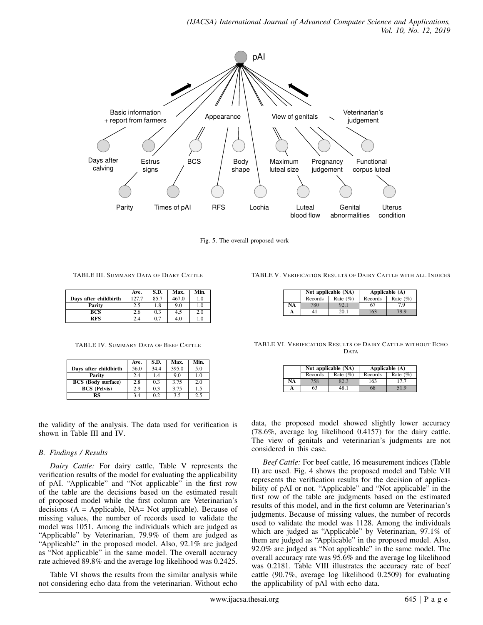

Fig. 5. The overall proposed work

TABLE III. SUMMARY DATA OF DIARY CATTLE

|                       | Ave.  | S.D. | Max.  | Min.    |
|-----------------------|-------|------|-------|---------|
| Days after childbirth | 127.7 | 85.7 | 467.0 | 1.0     |
| Parity                | 2.5   | 1.8  | 9.0   | 1.0     |
| BCS                   | 2.6   | 0.3  | 4.5   | 2.0     |
| <b>RFS</b>            | 2.4   | 0.7  | 4.0   | $1.0\,$ |

TABLE IV. SUMMARY DATA OF BEEF CATTLE

|                           | Ave. | S.D. | Max.  | Min. |
|---------------------------|------|------|-------|------|
| Days after childbirth     | 56.0 | 34.4 | 395.0 | 5.0  |
| Parity                    | 2.4  | 1.4  | 9.0   | 1.0  |
| <b>BCS</b> (Body surface) | 2.8  | 0.3  | 3.75  | 2.0  |
| <b>BCS</b> (Pelvis)       | 2.9  | 0.3  | 3.75  | 1.5  |
| RS                        | 3.4  | 0.2  | 3.5   | 2.5  |

the validity of the analysis. The data used for verification is shown in Table III and IV.

# *B. Findings / Results*

*Dairy Cattle:* For dairy cattle, Table V represents the verification results of the model for evaluating the applicability of pAI. "Applicable" and "Not applicable" in the first row of the table are the decisions based on the estimated result of proposed model while the first column are Veterinarian's decisions  $(A = \text{Applied} be, \text{NA} = \text{Not applicable})$ . Because of missing values, the number of records used to validate the model was 1051. Among the individuals which are judged as "Applicable" by Veterinarian, 79.9% of them are judged as "Applicable" in the proposed model. Also, 92.1% are judged as "Not applicable" in the same model. The overall accuracy rate achieved 89.8% and the average log likelihood was 0.2425.

Table VI shows the results from the similar analysis while not considering echo data from the veterinarian. Without echo

|  | TABLE V. VERIFICATION RESULTS OF DAIRY CATTLE WITH ALL INDICES |  |  |  |  |
|--|----------------------------------------------------------------|--|--|--|--|
|--|----------------------------------------------------------------|--|--|--|--|

|    | Not applicable (NA) |             |         | Applicable $(A)$ |
|----|---------------------|-------------|---------|------------------|
|    | Records             | Rate $(\%)$ | Records | Rate $(\%)$      |
| NA | '80                 | 92.         | 67      | 7.9              |
|    |                     | 20.1        | .63     | 79.9             |

TABLE VI. VERIFICATION RESULTS OF DAIRY CATTLE WITHOUT ECHO DATA

|    |         | Not applicable (NA) |         | Applicable $(A)$ |
|----|---------|---------------------|---------|------------------|
|    | Records | Rate $(\%)$         | Records | Rate $(\%)$      |
| NA |         |                     | 163     | 177              |
|    | 63      |                     | 68      | 51.9             |

data, the proposed model showed slightly lower accuracy (78.6%, average log likelihood 0.4157) for the dairy cattle. The view of genitals and veterinarian's judgments are not considered in this case.

*Beef Cattle:* For beef cattle, 16 measurement indices (Table II) are used. Fig. 4 shows the proposed model and Table VII represents the verification results for the decision of applicability of pAI or not. "Applicable" and "Not applicable" in the first row of the table are judgments based on the estimated results of this model, and in the first column are Veterinarian's judgments. Because of missing values, the number of records used to validate the model was 1128. Among the individuals which are judged as "Applicable" by Veterinarian, 97.1% of them are judged as "Applicable" in the proposed model. Also, 92.0% are judged as "Not applicable" in the same model. The overall accuracy rate was 95.6% and the average log likelihood was 0.2181. Table VIII illustrates the accuracy rate of beef cattle (90.7%, average log likelihood 0.2509) for evaluating the applicability of pAI with echo data.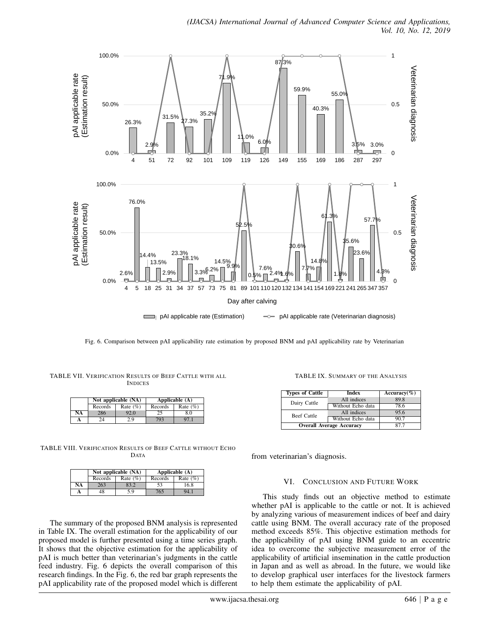

Fig. 6. Comparison between pAI applicability rate estimation by proposed BNM and pAI applicability rate by Veterinarian

| TABLE VII. VERIFICATION RESULTS OF BEEF CATTLE WITH ALL |                |  |  |  |
|---------------------------------------------------------|----------------|--|--|--|
|                                                         | <b>INDICES</b> |  |  |  |

|    | Not applicable (NA) |             | Applicable $(A)$ |             |
|----|---------------------|-------------|------------------|-------------|
|    | Records             | Rate $(\%)$ | Records          | Rate $(\%)$ |
| NA | 286                 | 92.0        |                  | 8.0         |
|    |                     | 29          | 793              |             |

TABLE VIII. VERIFICATION RESULTS OF BEEF CATTLE WITHOUT ECHO DATA

|    | Not applicable (NA) |             |         | Applicable $(A)$ |  |
|----|---------------------|-------------|---------|------------------|--|
|    | Records             | Rate $(\%)$ | Records | Rate $(\%)$      |  |
| NA | 263                 | 83.2        | 53      | 16.8             |  |
|    | 48                  | 5.9         | 765     | 94.1             |  |

The summary of the proposed BNM analysis is represented in Table IX. The overall estimation for the applicability of our proposed model is further presented using a time series graph. It shows that the objective estimation for the applicability of pAI is much better than veterinarian's judgments in the cattle feed industry. Fig. 6 depicts the overall comparison of this research findings. In the Fig. 6, the red bar graph represents the pAI applicability rate of the proposed model which is different

TABLE IX. SUMMARY OF THE ANALYSIS

| <b>Types of Cattle</b>          | <b>Index</b>      | Accuracy $(\%)$ |
|---------------------------------|-------------------|-----------------|
| Dairy Cattle                    | All indices       | 89.8            |
|                                 | Without Echo data | 78.6            |
| <b>Beef Cattle</b>              | All indices       | 95.6            |
|                                 | Without Echo data | 907             |
| <b>Overall Average Accuracy</b> | 877               |                 |

from veterinarian's diagnosis.

## VI. CONCLUSION AND FUTURE WORK

This study finds out an objective method to estimate whether pAI is applicable to the cattle or not. It is achieved by analyzing various of measurement indices of beef and dairy cattle using BNM. The overall accuracy rate of the proposed method exceeds 85%. This objective estimation methods for the applicability of pAI using BNM guide to an eccentric idea to overcome the subjective measurement error of the applicability of artificial insemination in the cattle production in Japan and as well as abroad. In the future, we would like to develop graphical user interfaces for the livestock farmers to help them estimate the applicability of pAI.